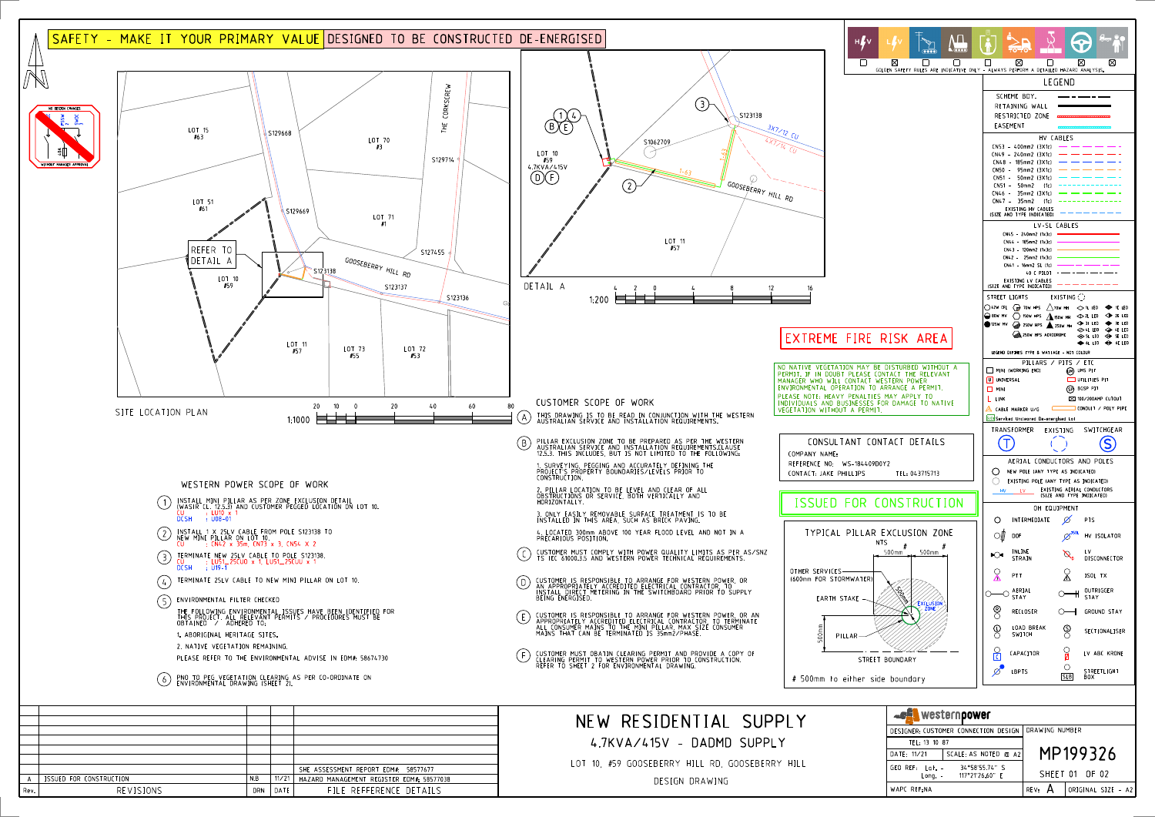LOT 10, #59 GOOSEBERRY HILL RD, GOOSEBERRY HILL

DESIGN DRAWING



|      |                         |            |       | SHE ASSESSMENT REPORT EDM#: 58577677      |
|------|-------------------------|------------|-------|-------------------------------------------|
|      | ISSUED FOR CONSTRUCTION |            | 11/21 | HAZARD MANAGEMENT REGISTER EDM#: 58577038 |
| Rev. | REVISIONS               | <b>DRN</b> | DATE  | LE REFFERENCE DETAILS                     |

## MP199326 SHEET 01 OF 02 WAPC REF:NA ORIGINAL SIZE - A2 REV: A GEO REF: Lat. -Long. - 34°58'55.74" S 117°21'26.60" E

 $\boxtimes$